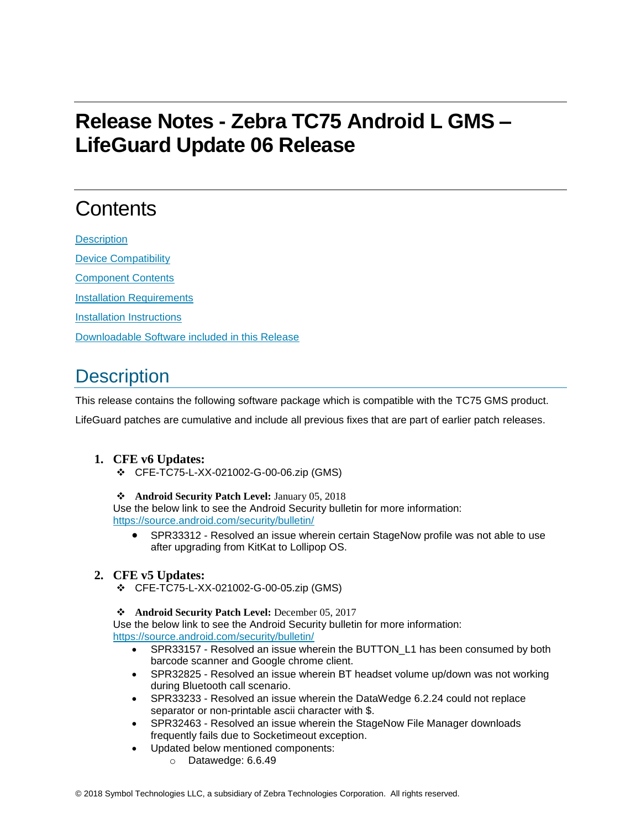# **Release Notes - Zebra TC75 Android L GMS – LifeGuard Update 06 Release**

## **Contents**

**[Description](#page-0-0)** [Device Compatibility](#page-2-0) [Component Contents](#page-2-1) [Installation Requirements](#page-2-2) [Installation Instructions](#page-2-3) [Downloadable Software included in this Release](#page-3-0)

## <span id="page-0-0"></span>**Description**

This release contains the following software package which is compatible with the TC75 GMS product.

LifeGuard patches are cumulative and include all previous fixes that are part of earlier patch releases.

### **1. CFE v6 Updates:**

- ❖ CFE-TC75-L-XX-021002-G-00-06.zip (GMS)
- ❖ **Android Security Patch Level:** January 05, 2018

Use the below link to see the Android Security bulletin for more information: <https://source.android.com/security/bulletin/>

• SPR33312 - Resolved an issue wherein certain StageNow profile was not able to use after upgrading from KitKat to Lollipop OS.

#### **2. CFE v5 Updates:**

❖ CFE-TC75-L-XX-021002-G-00-05.zip (GMS)

#### ❖ **Android Security Patch Level:** December 05, 2017

Use the below link to see the Android Security bulletin for more information: <https://source.android.com/security/bulletin/>

- SPR33157 Resolved an issue wherein the BUTTON\_L1 has been consumed by both barcode scanner and Google chrome client.
- SPR32825 Resolved an issue wherein BT headset volume up/down was not working during Bluetooth call scenario.
- SPR33233 Resolved an issue wherein the DataWedge 6.2.24 could not replace separator or non-printable ascii character with \$.
- SPR32463 Resolved an issue wherein the StageNow File Manager downloads frequently fails due to Socketimeout exception.
- Updated below mentioned components:
	- o Datawedge: 6.6.49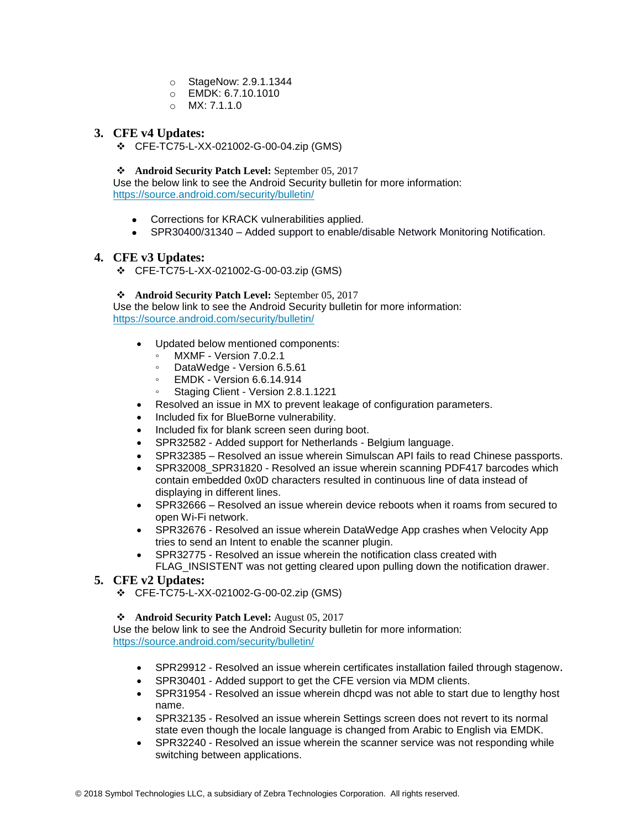- o StageNow: 2.9.1.1344
- o EMDK: 6.7.10.1010
- o MX: 7.1.1.0

#### **3. CFE v4 Updates:**

❖ CFE-TC75-L-XX-021002-G-00-04.zip (GMS)

#### ❖ **Android Security Patch Level:** September 05, 2017

Use the below link to see the Android Security bulletin for more information: <https://source.android.com/security/bulletin/>

- Corrections for KRACK vulnerabilities applied.
- SPR30400/31340 Added support to enable/disable Network Monitoring Notification.

#### **4. CFE v3 Updates:**

❖ CFE-TC75-L-XX-021002-G-00-03.zip (GMS)

#### ❖ **Android Security Patch Level:** September 05, 2017

Use the below link to see the Android Security bulletin for more information: <https://source.android.com/security/bulletin/>

- Updated below mentioned components:
	- MXMF Version 7.0.2.1
	- DataWedge Version 6.5.61
	- EMDK Version 6.6.14.914
	- Staging Client Version 2.8.1.1221
- Resolved an issue in MX to prevent leakage of configuration parameters.
- Included fix for BlueBorne vulnerability.
- Included fix for blank screen seen during boot.
- SPR32582 Added support for Netherlands Belgium language.
- SPR32385 Resolved an issue wherein Simulscan API fails to read Chinese passports.
- SPR32008 SPR31820 Resolved an issue wherein scanning PDF417 barcodes which contain embedded 0x0D characters resulted in continuous line of data instead of displaying in different lines.
- SPR32666 Resolved an issue wherein device reboots when it roams from secured to open Wi-Fi network.
- SPR32676 Resolved an issue wherein DataWedge App crashes when Velocity App tries to send an Intent to enable the scanner plugin.
- SPR32775 Resolved an issue wherein the notification class created with FLAG\_INSISTENT was not getting cleared upon pulling down the notification drawer.

#### **5. CFE v2 Updates:**

❖ CFE-TC75-L-XX-021002-G-00-02.zip (GMS)

#### ❖ **Android Security Patch Level:** August 05, 2017

Use the below link to see the Android Security bulletin for more information: <https://source.android.com/security/bulletin/>

- SPR29912 Resolved an issue wherein certificates installation failed through stagenow.
- SPR30401 Added support to get the CFE version via MDM clients.
- SPR31954 Resolved an issue wherein dhcpd was not able to start due to lengthy host name.
- SPR32135 Resolved an issue wherein Settings screen does not revert to its normal state even though the locale language is changed from Arabic to English via EMDK.
- SPR32240 Resolved an issue wherein the scanner service was not responding while switching between applications.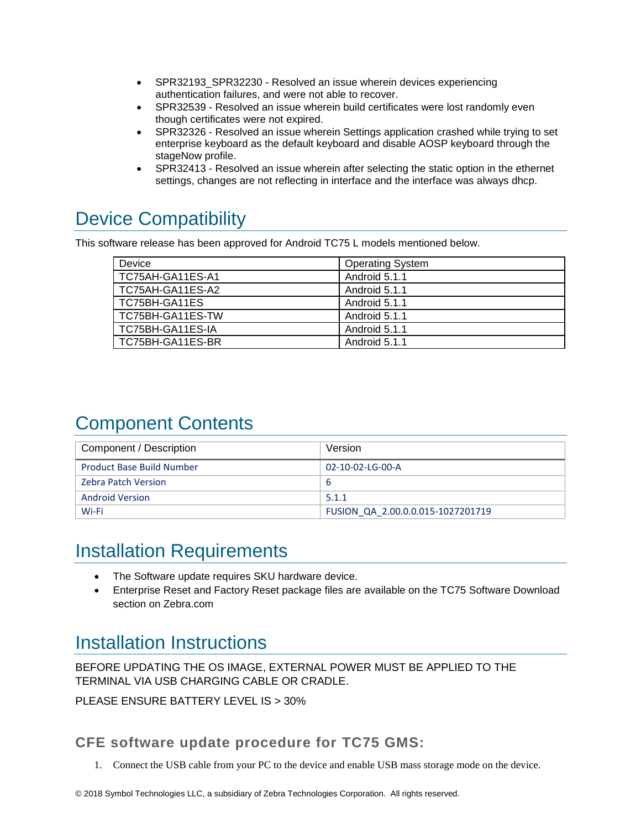- SPR32193 SPR32230 Resolved an issue wherein devices experiencing authentication failures, and were not able to recover.
- SPR32539 Resolved an issue wherein build certificates were lost randomly even though certificates were not expired.
- SPR32326 Resolved an issue wherein Settings application crashed while trying to set enterprise keyboard as the default keyboard and disable AOSP keyboard through the stageNow profile.
- SPR32413 Resolved an issue wherein after selecting the static option in the ethernet settings, changes are not reflecting in interface and the interface was always dhcp.

## <span id="page-2-0"></span>Device Compatibility

This software release has been approved for Android TC75 L models mentioned below.

| Device           | <b>Operating System</b> |
|------------------|-------------------------|
| TC75AH-GA11ES-A1 | Android 5.1.1           |
| TC75AH-GA11ES-A2 | Android 5.1.1           |
| TC75BH-GA11ES    | Android 5.1.1           |
| TC75BH-GA11ES-TW | Android 5.1.1           |
| TC75BH-GA11ES-IA | Android 5.1.1           |
| TC75BH-GA11ES-BR | Android 5.1.1           |

## <span id="page-2-1"></span>Component Contents

| Component / Description          | Version                           |
|----------------------------------|-----------------------------------|
| <b>Product Base Build Number</b> | 02-10-02-LG-00-A                  |
| <b>Zebra Patch Version</b>       | b                                 |
| <b>Android Version</b>           | 5.1.1                             |
| Wi-Fi                            | FUSION QA 2.00.0.0.015-1027201719 |

### <span id="page-2-2"></span>Installation Requirements

- The Software update requires SKU hardware device.
- Enterprise Reset and Factory Reset package files are available on the TC75 Software Download section on Zebra.com

### <span id="page-2-3"></span>Installation Instructions

BEFORE UPDATING THE OS IMAGE, EXTERNAL POWER MUST BE APPLIED TO THE TERMINAL VIA USB CHARGING CABLE OR CRADLE.

PLEASE ENSURE BATTERY LEVEL IS > 30%

### CFE software update procedure for TC75 GMS:

1. Connect the USB cable from your PC to the device and enable USB mass storage mode on the device.